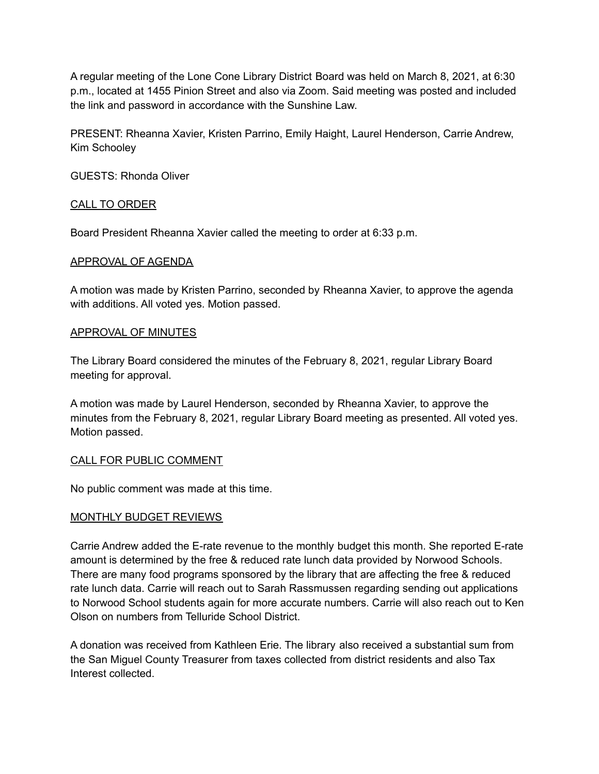A regular meeting of the Lone Cone Library District Board was held on March 8, 2021, at 6:30 p.m., located at 1455 Pinion Street and also via Zoom. Said meeting was posted and included the link and password in accordance with the Sunshine Law.

PRESENT: Rheanna Xavier, Kristen Parrino, Emily Haight, Laurel Henderson, Carrie Andrew, Kim Schooley

GUESTS: Rhonda Oliver

## CALL TO ORDER

Board President Rheanna Xavier called the meeting to order at 6:33 p.m.

## APPROVAL OF AGENDA

A motion was made by Kristen Parrino, seconded by Rheanna Xavier, to approve the agenda with additions. All voted yes. Motion passed.

## APPROVAL OF MINUTES

The Library Board considered the minutes of the February 8, 2021, regular Library Board meeting for approval.

A motion was made by Laurel Henderson, seconded by Rheanna Xavier, to approve the minutes from the February 8, 2021, regular Library Board meeting as presented. All voted yes. Motion passed.

## CALL FOR PUBLIC COMMENT

No public comment was made at this time.

## MONTHLY BUDGET REVIEWS

Carrie Andrew added the E-rate revenue to the monthly budget this month. She reported E-rate amount is determined by the free & reduced rate lunch data provided by Norwood Schools. There are many food programs sponsored by the library that are affecting the free & reduced rate lunch data. Carrie will reach out to Sarah Rassmussen regarding sending out applications to Norwood School students again for more accurate numbers. Carrie will also reach out to Ken Olson on numbers from Telluride School District.

A donation was received from Kathleen Erie. The library also received a substantial sum from the San Miguel County Treasurer from taxes collected from district residents and also Tax Interest collected.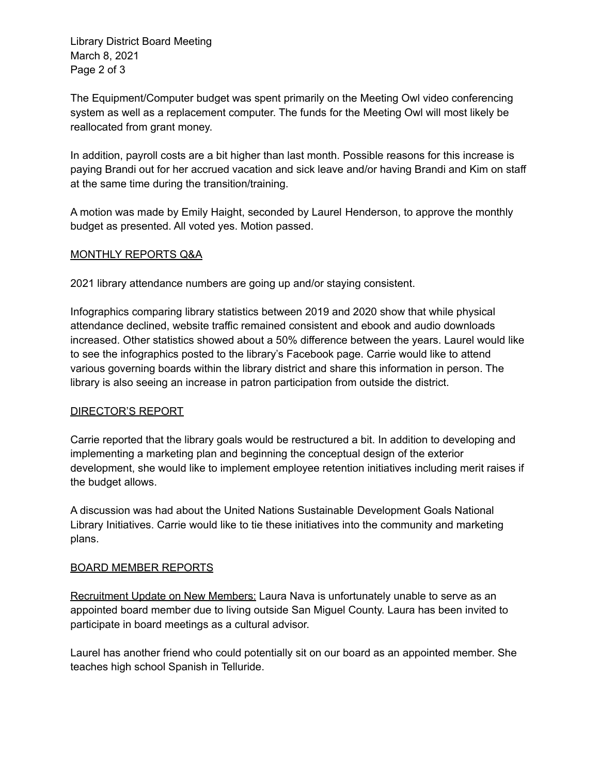Library District Board Meeting March 8, 2021 Page 2 of 3

The Equipment/Computer budget was spent primarily on the Meeting Owl video conferencing system as well as a replacement computer. The funds for the Meeting Owl will most likely be reallocated from grant money.

In addition, payroll costs are a bit higher than last month. Possible reasons for this increase is paying Brandi out for her accrued vacation and sick leave and/or having Brandi and Kim on staff at the same time during the transition/training.

A motion was made by Emily Haight, seconded by Laurel Henderson, to approve the monthly budget as presented. All voted yes. Motion passed.

# MONTHLY REPORTS Q&A

2021 library attendance numbers are going up and/or staying consistent.

Infographics comparing library statistics between 2019 and 2020 show that while physical attendance declined, website traffic remained consistent and ebook and audio downloads increased. Other statistics showed about a 50% difference between the years. Laurel would like to see the infographics posted to the library's Facebook page. Carrie would like to attend various governing boards within the library district and share this information in person. The library is also seeing an increase in patron participation from outside the district.

# DIRECTOR'S REPORT

Carrie reported that the library goals would be restructured a bit. In addition to developing and implementing a marketing plan and beginning the conceptual design of the exterior development, she would like to implement employee retention initiatives including merit raises if the budget allows.

A discussion was had about the United Nations Sustainable Development Goals National Library Initiatives. Carrie would like to tie these initiatives into the community and marketing plans.

# BOARD MEMBER REPORTS

Recruitment Update on New Members: Laura Nava is unfortunately unable to serve as an appointed board member due to living outside San Miguel County. Laura has been invited to participate in board meetings as a cultural advisor.

Laurel has another friend who could potentially sit on our board as an appointed member. She teaches high school Spanish in Telluride.